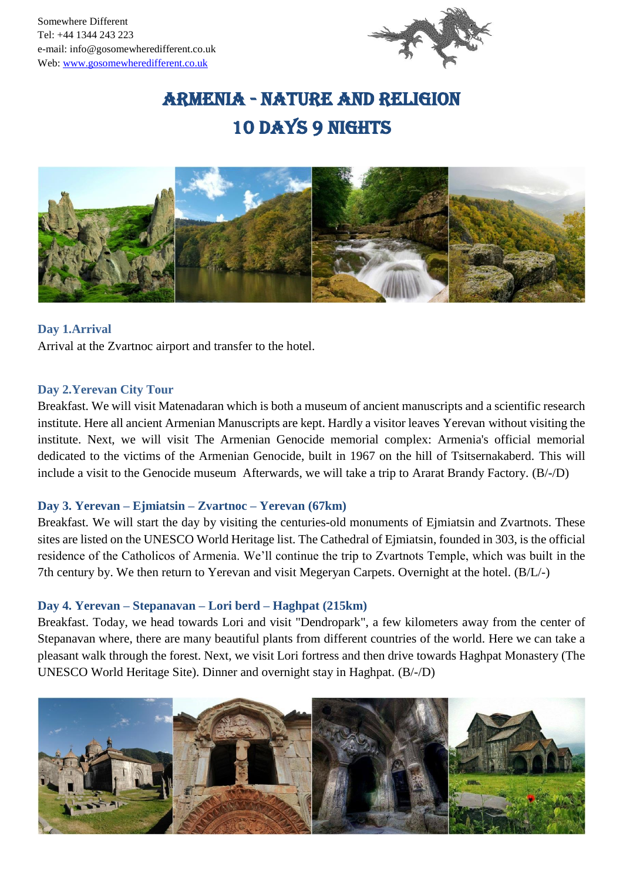

# Armenia - Nature and Religion 10 days 9 nights



## **Day 1.Arrival**

Arrival at the Zvartnoc airport and transfer to the hotel.

#### **Day 2.Yerevan City Tour**

Breakfast. We will visit Matenadaran which is both a museum of ancient manuscripts and a scientific research institute. Here all ancient Armenian Manuscripts are kept. Hardly a visitor leaves [Yerevan](http://www.armeniapedia.org/wiki/Yerevan) without visiting the institute. Next, we will visit The Armenian Genocide memorial complex: Armenia's official memorial dedicated to the victims of the Armenian Genocide, built in 1967 on the hill of Tsitsernakaberd. This will include a visit to the Genocide museum Afterwards, we will take a trip to Ararat Brandy Factory. (B/-/D)

## **Day 3. Yerevan – Ejmiatsin – Zvartnoc – Yerevan (67km)**

Breakfast. We will start the day by visiting the centuries-old monuments of Ejmiatsin and Zvartnots. These sites are listed on the UNESCO World Heritage list. The Cathedral of Ejmiatsin, founded in 303, is the official residence of the Catholicos of Armenia. We'll continue the trip to Zvartnots Temple, which was built in the 7th century by. We then return to Yerevan and visit Megeryan Carpets. Overnight at the hotel. (B/L/-)

## **Day 4. Yerevan – Stepanavan – Lori berd – Haghpat (215km)**

Breakfast. Today, we head towards Lori and visit "Dendropark", a few kilometers away from the center of Stepanavan where, there are many beautiful plants from different countries of the world. Here we can take a pleasant walk through the forest. Next, we visit Lori fortress and then drive towards Haghpat Monastery (The UNESCO World Heritage Site). Dinner and overnight stay in Haghpat. (B/-/D)

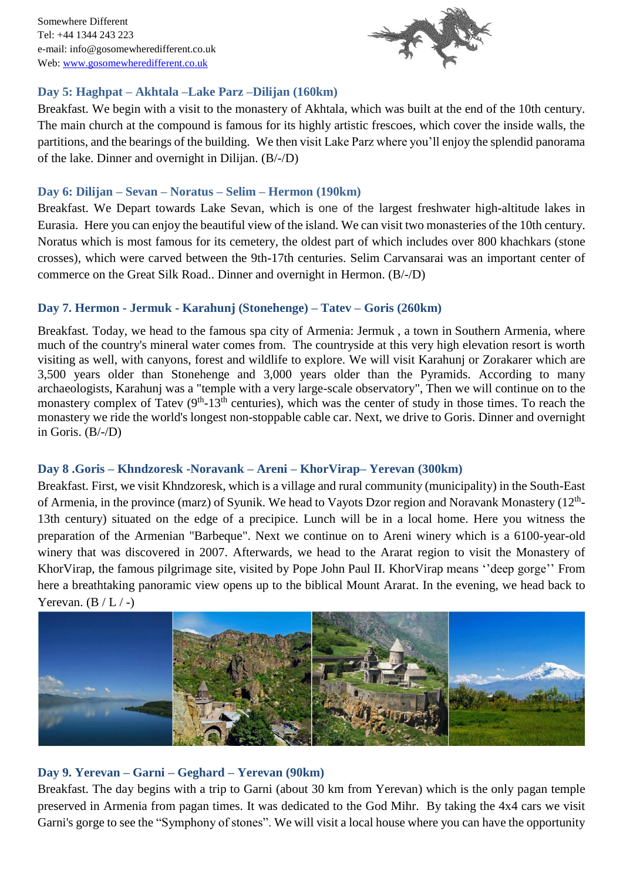Somewhere Different Tel: +44 1344 243 223 e-mail: info@gosomewheredifferent.co.uk Web: [www.gosomewheredifferent.co.uk](http://www.gosomewheredifferent.co.uk/)



## **Day 5: Haghpat – Akhtala –Lake Parz –Dilijan (160km)**

Breakfast. We begin with a visit to the monastery of Akhtala, which was built at the end of the 10th century. The main church at the compound is famous for its highly artistic frescoes, which cover the inside walls, the partitions, and the bearings of the building. We then visit Lake Parz where you'll enjoy the splendid panorama of the lake. Dinner and overnight in Dilijan. (B/-/D)

## **Day 6: Dilijan – Sevan – Noratus – Selim – Hermon (190km)**

Breakfast. We Depart towards Lake Sevan, which is one of the largest freshwater high-altitude lakes in Eurasia. Here you can enjoy the beautiful view of the island. We can visit two monasteries of the 10th century. Noratus which is most famous for its cemetery, the oldest part of which includes over 800 khachkars (stone crosses), which were carved between the 9th-17th centuries. Selim Carvansarai was an important center of commerce on the Great Silk Road.. Dinner and overnight in Hermon. (B/-/D)

## **Day 7. Hermon - Jermuk - Karahunj (Stonehenge) – Tatev – Goris (260km)**

Breakfast. Today, we head to the famous spa city of Armenia: Jermuk , a town in [Southern Armenia,](http://wikitravel.org/en/Southern_Armenia) where much of the country's mineral water comes from. The countryside at this very high elevation resort is worth visiting as well, with canyons, forest and wildlife to explore. We will visit Karahunj or Zorakarer which are 3,500 years older than Stonehenge and 3,000 years older than the Pyramids. According to many archaeologists, Karahunj was a "temple with a very large-scale observatory", Then we will continue on to the monastery complex of Tatev  $(9<sup>th</sup>-13<sup>th</sup>$  centuries), which was the center of study in those times. To reach the monastery we ride the world's longest non-stoppable cable car. Next, we drive to Goris. Dinner and overnight in Goris. (B/-/D)

# **Day 8 .Goris – Khndzoresk -Noravank – Areni – KhorVirap– Yerevan (300km)**

Breakfast. First, we visit Khndzoresk, which is a village and rural community (municipality) in the South-East of Armenia, in the province (marz) of Syunik. We head to Vayots Dzor region and Noravank Monastery ( $12<sup>th</sup>$ -13th century) situated on the edge of a precipice. Lunch will be in a local home. Here you witness the preparation of the Armenian "Barbeque". Next we continue on to Areni winery which is a 6100-year-old winery that was discovered in 2007. Afterwards, we head to the Ararat region to visit the Monastery of KhorVirap, the famous pilgrimage site, visited by Pope John Paul II. KhorVirap means ''deep gorge'' From here a breathtaking panoramic view opens up to the biblical Mount Ararat. In the evening, we head back to Yerevan.  $(B/L/-)$ 



# **Day 9. Yerevan – Garni – Geghard – Yerevan (90km)**

Breakfast. The day begins with a trip to Garni (about 30 km from Yerevan) which is the only pagan temple preserved in Armenia from pagan times. It was dedicated to the God Mihr. By taking the 4x4 cars we visit Garni's gorge to see the "Symphony of stones". We will visit a local house where you can have the opportunity